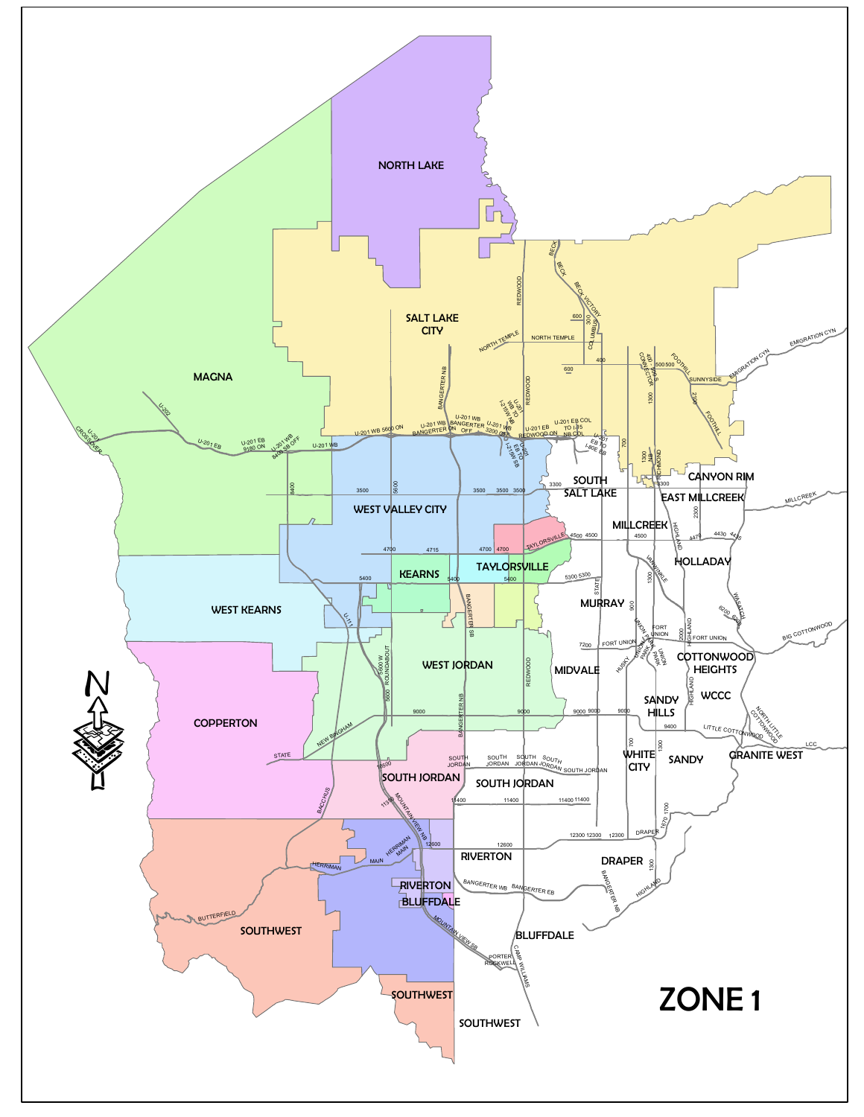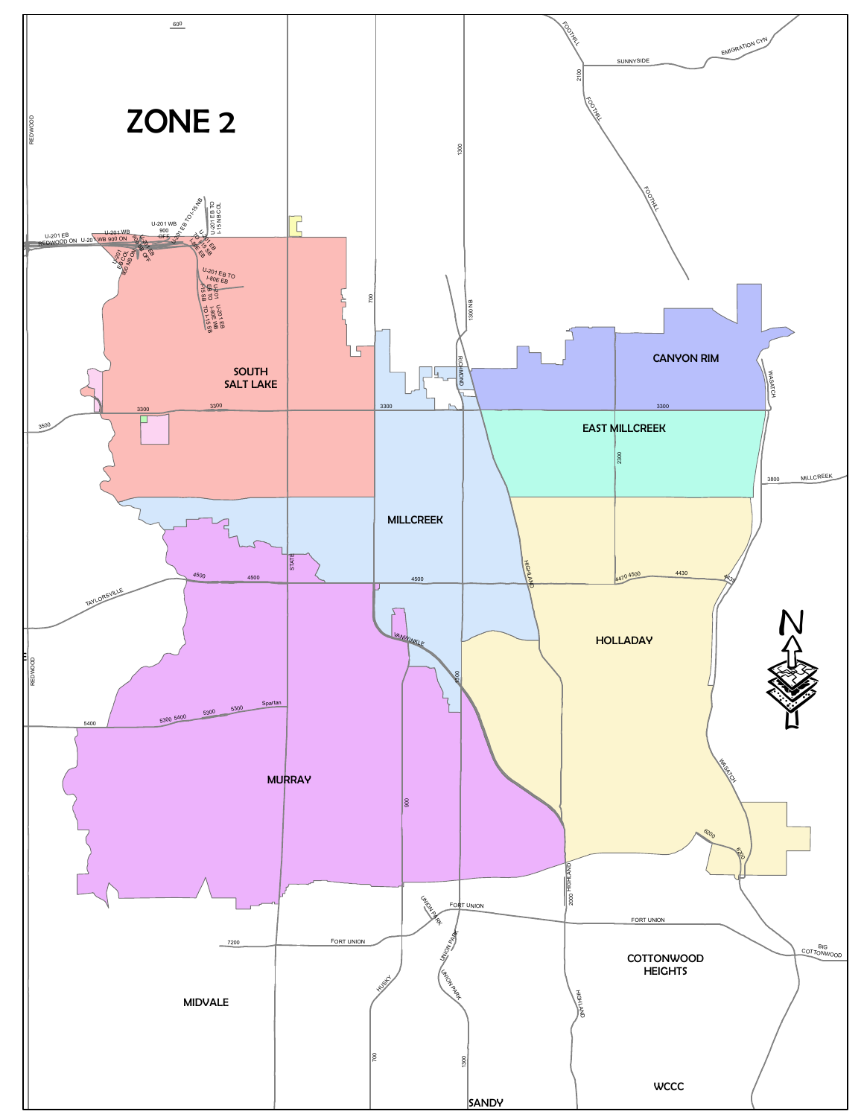